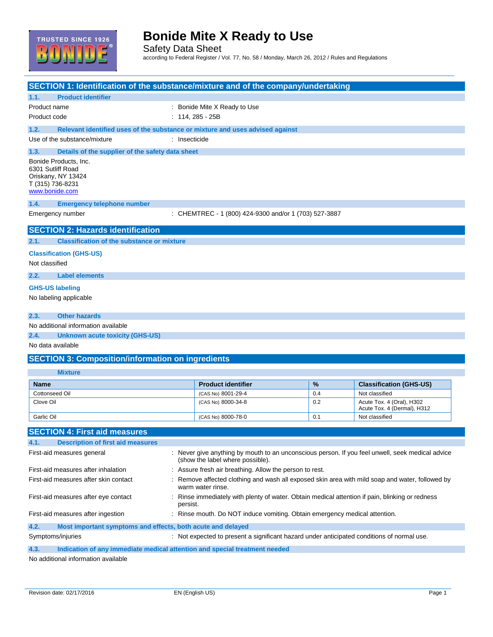

Safety Data Sheet according to Federal Register / Vol. 77, No. 58 / Monday, March 26, 2012 / Rules and Regulations

| <b>SECTION 1: Identification of the substance/mixture and of the company/undertaking</b> |                                                                                                           |                                                                                                                                      |               |                                |
|------------------------------------------------------------------------------------------|-----------------------------------------------------------------------------------------------------------|--------------------------------------------------------------------------------------------------------------------------------------|---------------|--------------------------------|
| <b>Product identifier</b><br>1.1.                                                        |                                                                                                           |                                                                                                                                      |               |                                |
| Product name                                                                             |                                                                                                           | : Bonide Mite X Ready to Use                                                                                                         |               |                                |
| Product code                                                                             |                                                                                                           | $: 114, 285 - 25B$                                                                                                                   |               |                                |
| 1.2.<br>Relevant identified uses of the substance or mixture and uses advised against    |                                                                                                           |                                                                                                                                      |               |                                |
| Use of the substance/mixture                                                             | : Insecticide                                                                                             |                                                                                                                                      |               |                                |
|                                                                                          |                                                                                                           |                                                                                                                                      |               |                                |
| 1.3.<br>Details of the supplier of the safety data sheet<br>Bonide Products, Inc.        |                                                                                                           |                                                                                                                                      |               |                                |
| 6301 Sutliff Road                                                                        |                                                                                                           |                                                                                                                                      |               |                                |
| Oriskany, NY 13424                                                                       |                                                                                                           |                                                                                                                                      |               |                                |
| T (315) 736-8231<br>www.bonide.com                                                       |                                                                                                           |                                                                                                                                      |               |                                |
| 1.4.<br><b>Emergency telephone number</b>                                                |                                                                                                           |                                                                                                                                      |               |                                |
| Emergency number                                                                         |                                                                                                           | : CHEMTREC - 1 (800) 424-9300 and/or 1 (703) 527-3887                                                                                |               |                                |
|                                                                                          |                                                                                                           |                                                                                                                                      |               |                                |
| <b>SECTION 2: Hazards identification</b>                                                 |                                                                                                           |                                                                                                                                      |               |                                |
| <b>Classification of the substance or mixture</b><br>2.1.                                |                                                                                                           |                                                                                                                                      |               |                                |
| <b>Classification (GHS-US)</b>                                                           |                                                                                                           |                                                                                                                                      |               |                                |
| Not classified                                                                           |                                                                                                           |                                                                                                                                      |               |                                |
| <b>Label elements</b><br>2.2.                                                            |                                                                                                           |                                                                                                                                      |               |                                |
| <b>GHS-US labeling</b>                                                                   |                                                                                                           |                                                                                                                                      |               |                                |
| No labeling applicable                                                                   |                                                                                                           |                                                                                                                                      |               |                                |
|                                                                                          |                                                                                                           |                                                                                                                                      |               |                                |
| <b>Other hazards</b><br>2.3.                                                             |                                                                                                           |                                                                                                                                      |               |                                |
| No additional information available                                                      |                                                                                                           |                                                                                                                                      |               |                                |
| 2.4.<br><b>Unknown acute toxicity (GHS-US)</b>                                           |                                                                                                           |                                                                                                                                      |               |                                |
| No data available                                                                        |                                                                                                           |                                                                                                                                      |               |                                |
| <b>SECTION 3: Composition/information on ingredients</b>                                 |                                                                                                           |                                                                                                                                      |               |                                |
| <b>Mixture</b>                                                                           |                                                                                                           |                                                                                                                                      |               |                                |
| <b>Name</b>                                                                              |                                                                                                           | <b>Product identifier</b>                                                                                                            | $\frac{9}{6}$ | <b>Classification (GHS-US)</b> |
| Cottonseed Oil                                                                           |                                                                                                           | (CAS No) 8001-29-4                                                                                                                   | 0.4           | Not classified                 |
| Clove Oil                                                                                |                                                                                                           | (CAS No) 8000-34-8                                                                                                                   | 0.2           | Acute Tox. 4 (Oral), H302      |
|                                                                                          |                                                                                                           |                                                                                                                                      |               | Acute Tox. 4 (Dermal), H312    |
| Garlic Oil                                                                               |                                                                                                           | (CAS No) 8000-78-0                                                                                                                   | 0.1           | Not classified                 |
| <b>SECTION 4: First aid measures</b>                                                     |                                                                                                           |                                                                                                                                      |               |                                |
| 4.1.<br><b>Description of first aid measures</b>                                         |                                                                                                           |                                                                                                                                      |               |                                |
| First-aid measures general                                                               |                                                                                                           | : Never give anything by mouth to an unconscious person. If you feel unwell, seek medical advice<br>(show the label where possible). |               |                                |
| First-aid measures after inhalation                                                      |                                                                                                           | : Assure fresh air breathing. Allow the person to rest.                                                                              |               |                                |
| First-aid measures after skin contact                                                    |                                                                                                           | Remove affected clothing and wash all exposed skin area with mild soap and water, followed by<br>warm water rinse.                   |               |                                |
| First-aid measures after eye contact                                                     | Rinse immediately with plenty of water. Obtain medical attention if pain, blinking or redness<br>persist. |                                                                                                                                      |               |                                |
| First-aid measures after ingestion                                                       |                                                                                                           | : Rinse mouth. Do NOT induce vomiting. Obtain emergency medical attention.                                                           |               |                                |
| 4.2.<br>Most important symptoms and effects, both acute and delayed                      |                                                                                                           |                                                                                                                                      |               |                                |
| Symptoms/injuries                                                                        |                                                                                                           | : Not expected to present a significant hazard under anticipated conditions of normal use.                                           |               |                                |
| 4.3.<br>Indication of any immediate medical attention and special treatment needed       |                                                                                                           |                                                                                                                                      |               |                                |
| No additional information available                                                      |                                                                                                           |                                                                                                                                      |               |                                |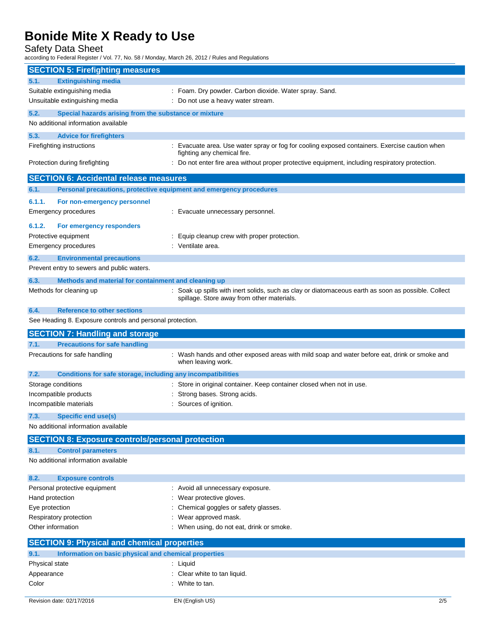Safety Data Sheet

according to Federal Register / Vol. 77, No. 58 / Monday, March 26, 2012 / Rules and Regulations

| <b>SECTION 5: Firefighting measures</b>                                     |                                                                                                                                                   |
|-----------------------------------------------------------------------------|---------------------------------------------------------------------------------------------------------------------------------------------------|
| <b>Extinguishing media</b><br>5.1.                                          |                                                                                                                                                   |
| Suitable extinguishing media                                                | : Foam. Dry powder. Carbon dioxide. Water spray. Sand.                                                                                            |
| Unsuitable extinguishing media                                              | : Do not use a heavy water stream.                                                                                                                |
| 5.2.<br>Special hazards arising from the substance or mixture               |                                                                                                                                                   |
| No additional information available                                         |                                                                                                                                                   |
| 5.3.<br><b>Advice for firefighters</b>                                      |                                                                                                                                                   |
| Firefighting instructions                                                   | : Evacuate area. Use water spray or fog for cooling exposed containers. Exercise caution when                                                     |
|                                                                             | fighting any chemical fire.                                                                                                                       |
| Protection during firefighting                                              | : Do not enter fire area without proper protective equipment, including respiratory protection.                                                   |
| <b>SECTION 6: Accidental release measures</b>                               |                                                                                                                                                   |
| 6.1.<br>Personal precautions, protective equipment and emergency procedures |                                                                                                                                                   |
| 6.1.1.<br>For non-emergency personnel                                       |                                                                                                                                                   |
| <b>Emergency procedures</b>                                                 | : Evacuate unnecessary personnel.                                                                                                                 |
| 6.1.2.<br>For emergency responders                                          |                                                                                                                                                   |
| Protective equipment                                                        | : Equip cleanup crew with proper protection.                                                                                                      |
| <b>Emergency procedures</b>                                                 | : Ventilate area.                                                                                                                                 |
| 6.2.<br><b>Environmental precautions</b>                                    |                                                                                                                                                   |
| Prevent entry to sewers and public waters.                                  |                                                                                                                                                   |
|                                                                             |                                                                                                                                                   |
| 6.3.<br>Methods and material for containment and cleaning up                |                                                                                                                                                   |
| Methods for cleaning up                                                     | : Soak up spills with inert solids, such as clay or diatomaceous earth as soon as possible. Collect<br>spillage. Store away from other materials. |
| <b>Reference to other sections</b><br>6.4.                                  |                                                                                                                                                   |
| See Heading 8. Exposure controls and personal protection.                   |                                                                                                                                                   |
|                                                                             |                                                                                                                                                   |
| <b>SECTION 7: Handling and storage</b>                                      |                                                                                                                                                   |
| <b>Precautions for safe handling</b><br>7.1.                                |                                                                                                                                                   |
| Precautions for safe handling                                               | : Wash hands and other exposed areas with mild soap and water before eat, drink or smoke and<br>when leaving work.                                |
| 7.2.<br><b>Conditions for safe storage, including any incompatibilities</b> |                                                                                                                                                   |
| Storage conditions                                                          | : Store in original container. Keep container closed when not in use.                                                                             |
| Incompatible products                                                       | : Strong bases. Strong acids.                                                                                                                     |
| Incompatible materials                                                      | : Sources of ignition.                                                                                                                            |
| <b>Specific end use(s)</b><br>7.3.                                          |                                                                                                                                                   |
| No additional information available                                         |                                                                                                                                                   |
| <b>SECTION 8: Exposure controls/personal protection</b>                     |                                                                                                                                                   |
| <b>Control parameters</b><br>8.1.                                           |                                                                                                                                                   |
| No additional information available                                         |                                                                                                                                                   |
| 8.2.<br><b>Exposure controls</b>                                            |                                                                                                                                                   |
| Personal protective equipment                                               | : Avoid all unnecessary exposure.                                                                                                                 |
| Hand protection                                                             | : Wear protective gloves.                                                                                                                         |
| Eye protection                                                              | Chemical goggles or safety glasses.                                                                                                               |
| Respiratory protection                                                      | : Wear approved mask.                                                                                                                             |
| Other information                                                           | : When using, do not eat, drink or smoke.                                                                                                         |
| <b>SECTION 9: Physical and chemical properties</b>                          |                                                                                                                                                   |
| Information on basic physical and chemical properties<br>9.1.               |                                                                                                                                                   |
| Physical state                                                              | : Liquid                                                                                                                                          |
| Appearance<br>Color                                                         | : Clear white to tan liquid.<br>: White to tan.                                                                                                   |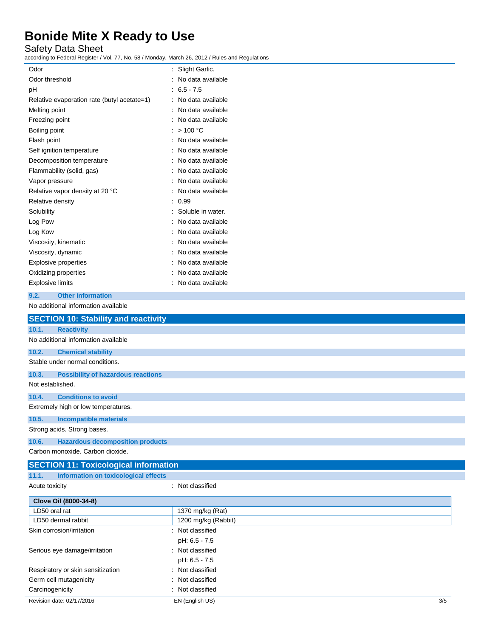Safety Data Sheet

according to Federal Register / Vol. 77, No. 58 / Monday, March 26, 2012 / Rules and Regulations

| Odor                                        | Slight Garlic.    |
|---------------------------------------------|-------------------|
| Odor threshold                              | No data available |
| рH                                          | $6.5 - 7.5$       |
| Relative evaporation rate (butyl acetate=1) | No data available |
| Melting point                               | No data available |
| Freezing point                              | No data available |
| Boiling point                               | >100 °C           |
| Flash point                                 | No data available |
| Self ignition temperature                   | No data available |
| Decomposition temperature                   | No data available |
| Flammability (solid, gas)                   | No data available |
| Vapor pressure                              | No data available |
| Relative vapor density at 20 °C             | No data available |
| Relative density                            | 0.99              |
| Solubility                                  | Soluble in water. |
| Log Pow                                     | No data available |
| Log Kow                                     | No data available |
| Viscosity, kinematic                        | No data available |
| Viscosity, dynamic                          | No data available |
| <b>Explosive properties</b>                 | No data available |
| Oxidizing properties                        | No data available |
| <b>Explosive limits</b>                     | No data available |
| <b>Other information</b><br>9.2.            |                   |
| No additional information available         |                   |
| <b>SECTION 10: Stability and reactivity</b> |                   |
| <b>Reactivity</b><br>10.1.                  |                   |
| No additional information available         |                   |
| 10.2.<br><b>Chemical stability</b>          |                   |

Stable under normal conditions.

**10.3. Possibility of hazardous reactions**

Not established.

**10.4. Conditions to avoid**

Extremely high or low temperatures.

#### **10.5. Incompatible materials**

Strong acids. Strong bases.

#### **10.6. Hazardous decomposition products**

Carbon monoxide. Carbon dioxide.

#### **SECTION 11: Toxicological information**

**11.1. Information on toxicological effects** Acute toxicity in the contract of the classified in the classified in the classified in the classified in the classified in the classified in the classified in the classified in the classified in the classified in the clas

| Clove Oil (8000-34-8)             |                     |     |
|-----------------------------------|---------------------|-----|
| LD50 oral rat                     | 1370 mg/kg (Rat)    |     |
| LD50 dermal rabbit                | 1200 mg/kg (Rabbit) |     |
| Skin corrosion/irritation         | Not classified      |     |
|                                   | pH: 6.5 - 7.5       |     |
| Serious eye damage/irritation     | Not classified<br>٠ |     |
|                                   | pH: 6.5 - 7.5       |     |
| Respiratory or skin sensitization | : Not classified    |     |
| Germ cell mutagenicity            | : Not classified    |     |
| Carcinogenicity                   | Not classified      |     |
| Revision date: 02/17/2016         | EN (English US)     | 3/5 |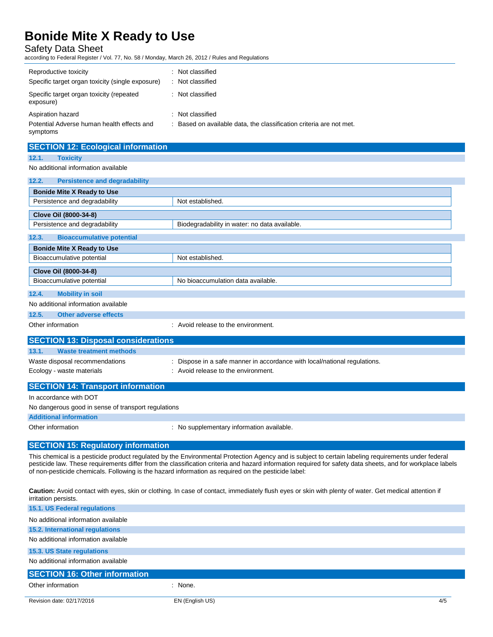Safety Data Sheet

according to Federal Register / Vol. 77, No. 58 / Monday, March 26, 2012 / Rules and Regulations

| Reproductive toxicity<br>Specific target organ toxicity (single exposure)   | Not classified<br>Not classified                                                    |
|-----------------------------------------------------------------------------|-------------------------------------------------------------------------------------|
| Specific target organ toxicity (repeated<br>exposure)                       | Not classified                                                                      |
| Aspiration hazard<br>Potential Adverse human health effects and<br>symptoms | Not classified<br>Based on available data, the classification criteria are not met. |

### **SECTION 12: Ecological information 12.1. Toxicity** No additional information available **12.2. Persistence and degradability Bonide Mite X Ready to Use** Persistence and degradability Not established. **Clove Oil (8000-34-8)** Persistence and degradability **Biodegradability in water: no data available 12.3. Bioaccumulative potential Bonide Mite X Ready to Use** Bioaccumulative potential Not established. **Clove Oil (8000-34-8)** Bioaccumulative potential **No bioaccumulation data available. 12.4. Mobility in soil** No additional information available **12.5. Other adverse effects** Other information  $\qquad \qquad$ : Avoid release to the environment. **SECTION 13: Disposal considerations 13.1. Waste treatment methods** Waste disposal recommendations : Dispose in a safe manner in accordance with local/national regulations. Ecology - waste materials **Example 20** in Avoid release to the environment.

| <b>SECTION 14: Transport information</b>            |                                           |
|-----------------------------------------------------|-------------------------------------------|
| In accordance with DOT                              |                                           |
| No dangerous good in sense of transport regulations |                                           |
| <b>Additional information</b>                       |                                           |
| Other information                                   | : No supplementary information available. |
|                                                     |                                           |

#### **SECTION 15: Regulatory information**

This chemical is a pesticide product regulated by the Environmental Protection Agency and is subject to certain labeling requirements under federal pesticide law. These requirements differ from the classification criteria and hazard information required for safety data sheets, and for workplace labels of non-pesticide chemicals. Following is the hazard information as required on the pesticide label:

**Caution:** Avoid contact with eyes, skin or clothing. In case of contact, immediately flush eyes or skin with plenty of water. Get medical attention if irritation persists. **15.1. US Federal regulations**